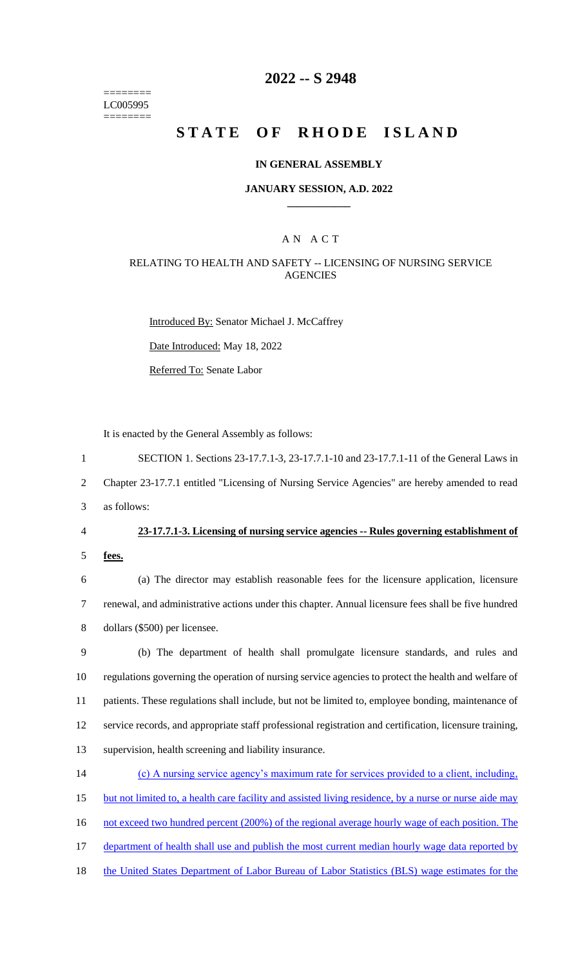======== LC005995 ========

### **2022 -- S 2948**

# **STATE OF RHODE ISLAND**

### **IN GENERAL ASSEMBLY**

### **JANUARY SESSION, A.D. 2022 \_\_\_\_\_\_\_\_\_\_\_\_**

### A N A C T

### RELATING TO HEALTH AND SAFETY -- LICENSING OF NURSING SERVICE **AGENCIES**

Introduced By: Senator Michael J. McCaffrey

Date Introduced: May 18, 2022

Referred To: Senate Labor

It is enacted by the General Assembly as follows:

1 SECTION 1. Sections 23-17.7.1-3, 23-17.7.1-10 and 23-17.7.1-11 of the General Laws in

2 Chapter 23-17.7.1 entitled "Licensing of Nursing Service Agencies" are hereby amended to read

3 as follows:

### 4 **23-17.7.1-3. Licensing of nursing service agencies -- Rules governing establishment of**

5 **fees.**

6 (a) The director may establish reasonable fees for the licensure application, licensure 7 renewal, and administrative actions under this chapter. Annual licensure fees shall be five hundred 8 dollars (\$500) per licensee.

 (b) The department of health shall promulgate licensure standards, and rules and regulations governing the operation of nursing service agencies to protect the health and welfare of patients. These regulations shall include, but not be limited to, employee bonding, maintenance of service records, and appropriate staff professional registration and certification, licensure training, supervision, health screening and liability insurance.

14 (c) A nursing service agency's maximum rate for services provided to a client, including, 15 but not limited to, a health care facility and assisted living residence, by a nurse or nurse aide may 16 not exceed two hundred percent (200%) of the regional average hourly wage of each position. The 17 department of health shall use and publish the most current median hourly wage data reported by

18 the United States Department of Labor Bureau of Labor Statistics (BLS) wage estimates for the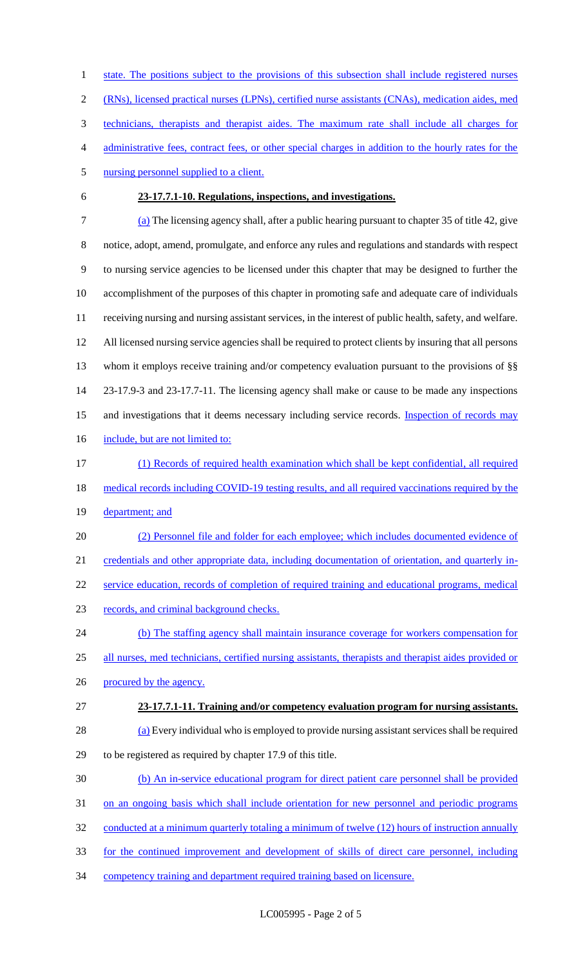1 state. The positions subject to the provisions of this subsection shall include registered nurses (RNs), licensed practical nurses (LPNs), certified nurse assistants (CNAs), medication aides, med technicians, therapists and therapist aides. The maximum rate shall include all charges for administrative fees, contract fees, or other special charges in addition to the hourly rates for the 5 nursing personnel supplied to a client. **23-17.7.1-10. Regulations, inspections, and investigations.** (a) The licensing agency shall, after a public hearing pursuant to chapter 35 of title 42, give notice, adopt, amend, promulgate, and enforce any rules and regulations and standards with respect to nursing service agencies to be licensed under this chapter that may be designed to further the accomplishment of the purposes of this chapter in promoting safe and adequate care of individuals

 All licensed nursing service agencies shall be required to protect clients by insuring that all persons whom it employs receive training and/or competency evaluation pursuant to the provisions of §§ 23-17.9-3 and 23-17.7-11. The licensing agency shall make or cause to be made any inspections 15 and investigations that it deems necessary including service records. Inspection of records may

receiving nursing and nursing assistant services, in the interest of public health, safety, and welfare.

- 16 include, but are not limited to:
- (1) Records of required health examination which shall be kept confidential, all required 18 medical records including COVID-19 testing results, and all required vaccinations required by the 19 department; and
- (2) Personnel file and folder for each employee; which includes documented evidence of credentials and other appropriate data, including documentation of orientation, and quarterly in-service education, records of completion of required training and educational programs, medical
- records, and criminal background checks.
- (b) The staffing agency shall maintain insurance coverage for workers compensation for 25 all nurses, med technicians, certified nursing assistants, therapists and therapist aides provided or 26 procured by the agency.
- **23-17.7.1-11. Training and/or competency evaluation program for nursing assistants.**
- (a) Every individual who is employed to provide nursing assistant services shall be required to be registered as required by chapter 17.9 of this title.
- (b) An in-service educational program for direct patient care personnel shall be provided
- 31 on an ongoing basis which shall include orientation for new personnel and periodic programs
- 32 conducted at a minimum quarterly totaling a minimum of twelve (12) hours of instruction annually
- for the continued improvement and development of skills of direct care personnel, including
- competency training and department required training based on licensure.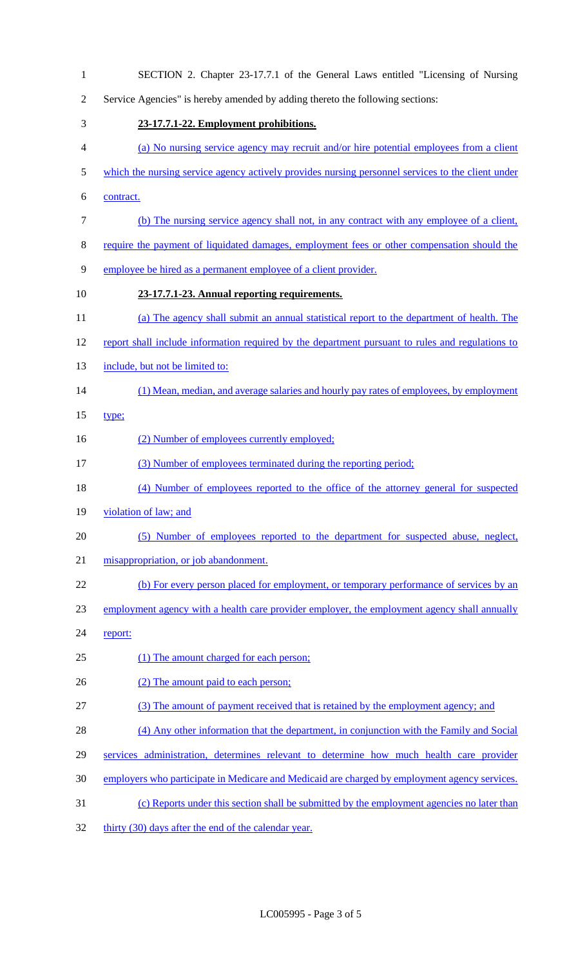| $\mathbf{1}$   | SECTION 2. Chapter 23-17.7.1 of the General Laws entitled "Licensing of Nursing"                  |
|----------------|---------------------------------------------------------------------------------------------------|
| $\overline{2}$ | Service Agencies" is hereby amended by adding thereto the following sections:                     |
| 3              | 23-17.7.1-22. Employment prohibitions.                                                            |
| 4              | (a) No nursing service agency may recruit and/or hire potential employees from a client           |
| 5              | which the nursing service agency actively provides nursing personnel services to the client under |
| 6              | contract.                                                                                         |
| $\tau$         | (b) The nursing service agency shall not, in any contract with any employee of a client,          |
| 8              | require the payment of liquidated damages, employment fees or other compensation should the       |
| 9              | employee be hired as a permanent employee of a client provider.                                   |
| 10             | 23-17.7.1-23. Annual reporting requirements.                                                      |
| 11             | (a) The agency shall submit an annual statistical report to the department of health. The         |
| 12             | report shall include information required by the department pursuant to rules and regulations to  |
| 13             | include, but not be limited to:                                                                   |
| 14             | (1) Mean, median, and average salaries and hourly pay rates of employees, by employment           |
| 15             | type;                                                                                             |
| 16             | (2) Number of employees currently employed;                                                       |
| 17             | (3) Number of employees terminated during the reporting period;                                   |
| 18             | (4) Number of employees reported to the office of the attorney general for suspected              |
| 19             | violation of law; and                                                                             |
| 20             | (5) Number of employees reported to the department for suspected abuse, neglect,                  |
| 21             | misappropriation, or job abandonment.                                                             |
| 22             | (b) For every person placed for employment, or temporary performance of services by an            |
| 23             | employment agency with a health care provider employer, the employment agency shall annually      |
| 24             | report:                                                                                           |
| 25             | (1) The amount charged for each person;                                                           |
| 26             | (2) The amount paid to each person;                                                               |
| 27             | (3) The amount of payment received that is retained by the employment agency; and                 |
| 28             | (4) Any other information that the department, in conjunction with the Family and Social          |
| 29             | services administration, determines relevant to determine how much health care provider           |
| 30             | employers who participate in Medicare and Medicaid are charged by employment agency services.     |
| 31             | (c) Reports under this section shall be submitted by the employment agencies no later than        |
| 32             | thirty (30) days after the end of the calendar year.                                              |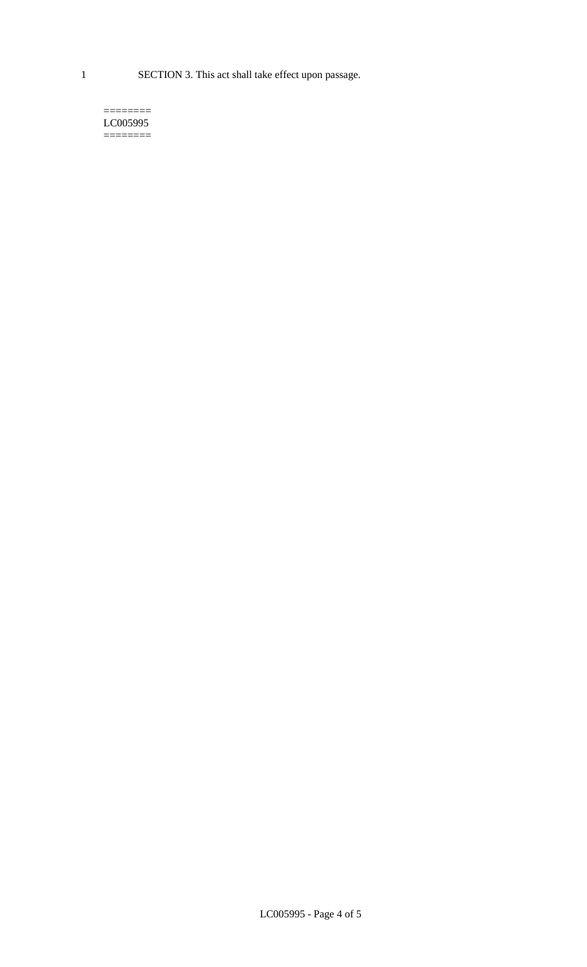1 SECTION 3. This act shall take effect upon passage.

 $=$ LC005995  $=$